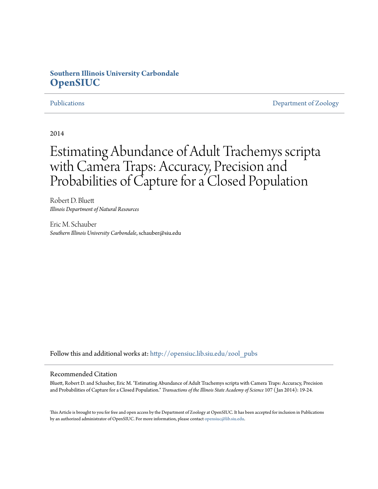## **Southern Illinois University Carbondale [OpenSIUC](http://opensiuc.lib.siu.edu?utm_source=opensiuc.lib.siu.edu%2Fzool_pubs%2F77&utm_medium=PDF&utm_campaign=PDFCoverPages)**

[Publications](http://opensiuc.lib.siu.edu/zool_pubs?utm_source=opensiuc.lib.siu.edu%2Fzool_pubs%2F77&utm_medium=PDF&utm_campaign=PDFCoverPages) **[Department of Zoology](http://opensiuc.lib.siu.edu/zool?utm_source=opensiuc.lib.siu.edu%2Fzool_pubs%2F77&utm_medium=PDF&utm_campaign=PDFCoverPages)** 

2014

# Estimating Abundance of Adult Trachemys scripta with Camera Traps: Accuracy, Precision and Probabilities of Capture for a Closed Population

Robert D. Bluett *Illinois Department of Natural Resources*

Eric M. Schauber *Southern Illinois University Carbondale*, schauber@siu.edu

Follow this and additional works at: [http://opensiuc.lib.siu.edu/zool\\_pubs](http://opensiuc.lib.siu.edu/zool_pubs?utm_source=opensiuc.lib.siu.edu%2Fzool_pubs%2F77&utm_medium=PDF&utm_campaign=PDFCoverPages)

#### Recommended Citation

Bluett, Robert D. and Schauber, Eric M. "Estimating Abundance of Adult Trachemys scripta with Camera Traps: Accuracy, Precision and Probabilities of Capture for a Closed Population." *Transactions of the Illinois State Academy of Science* 107 ( Jan 2014): 19-24.

This Article is brought to you for free and open access by the Department of Zoology at OpenSIUC. It has been accepted for inclusion in Publications by an authorized administrator of OpenSIUC. For more information, please contact [opensiuc@lib.siu.edu.](mailto:opensiuc@lib.siu.edu)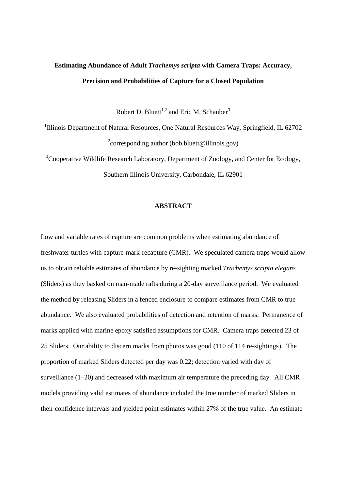# **Estimating Abundance of Adult** *Trachemys scripta* **with Camera Traps: Accuracy, Precision and Probabilities of Capture for a Closed Population**

Robert D. Bluett<sup>1,2</sup> and Eric M. Schauber<sup>3</sup>

<sup>1</sup>Illinois Department of Natural Resources, One Natural Resources Way, Springfield, IL 62702  $2$ corresponding author (bob.bluett@illinois.gov)

 $3C$ ooperative Wildlife Research Laboratory, Department of Zoology, and Center for Ecology, Southern Illinois University, Carbondale, IL 62901

### **ABSTRACT**

Low and variable rates of capture are common problems when estimating abundance of freshwater turtles with capture-mark-recapture (CMR). We speculated camera traps would allow us to obtain reliable estimates of abundance by re-sighting marked *Trachemys scripta elegans* (Sliders) as they basked on man-made rafts during a 20-day surveillance period. We evaluated the method by releasing Sliders in a fenced enclosure to compare estimates from CMR to true abundance. We also evaluated probabilities of detection and retention of marks. Permanence of marks applied with marine epoxy satisfied assumptions for CMR. Camera traps detected 23 of 25 Sliders. Our ability to discern marks from photos was good (110 of 114 re-sightings). The proportion of marked Sliders detected per day was 0.22; detection varied with day of surveillance (1–20) and decreased with maximum air temperature the preceding day. All CMR models providing valid estimates of abundance included the true number of marked Sliders in their confidence intervals and yielded point estimates within 27% of the true value. An estimate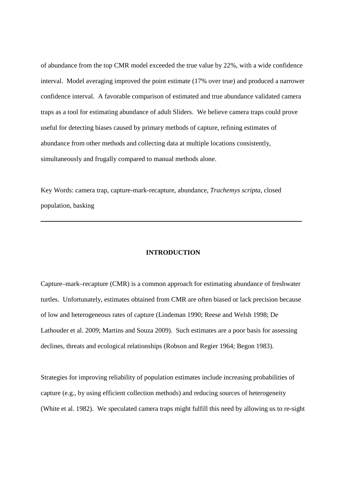of abundance from the top CMR model exceeded the true value by 22%, with a wide confidence interval. Model averaging improved the point estimate (17% over true) and produced a narrower confidence interval. A favorable comparison of estimated and true abundance validated camera traps as a tool for estimating abundance of adult Sliders. We believe camera traps could prove useful for detecting biases caused by primary methods of capture, refining estimates of abundance from other methods and collecting data at multiple locations consistently, simultaneously and frugally compared to manual methods alone.

Key Words: camera trap, capture-mark-recapture, abundance, *Trachemys scripta*, closed population, basking

#### **INTRODUCTION**

Capture–mark–recapture (CMR) is a common approach for estimating abundance of freshwater turtles. Unfortunately, estimates obtained from CMR are often biased or lack precision because of low and heterogeneous rates of capture (Lindeman 1990; Reese and Welsh 1998; De Lathouder et al. 2009; Martins and Souza 2009). Such estimates are a poor basis for assessing declines, threats and ecological relationships (Robson and Regier 1964; Begon 1983).

Strategies for improving reliability of population estimates include increasing probabilities of capture (e.g., by using efficient collection methods) and reducing sources of heterogeneity (White et al. 1982). We speculated camera traps might fulfill this need by allowing us to re-sight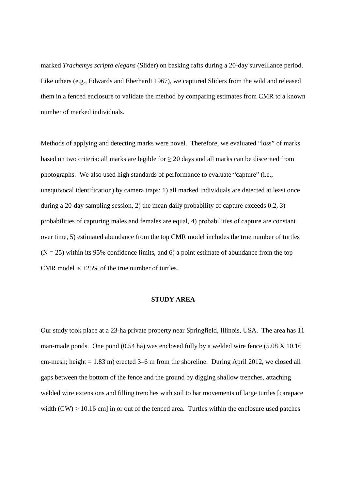marked *Trachemys scripta elegans* (Slider) on basking rafts during a 20-day surveillance period. Like others (e.g., Edwards and Eberhardt 1967), we captured Sliders from the wild and released them in a fenced enclosure to validate the method by comparing estimates from CMR to a known number of marked individuals.

Methods of applying and detecting marks were novel. Therefore, we evaluated "loss" of marks based on two criteria: all marks are legible for  $\geq 20$  days and all marks can be discerned from photographs. We also used high standards of performance to evaluate "capture" (i.e., unequivocal identification) by camera traps: 1) all marked individuals are detected at least once during a 20-day sampling session, 2) the mean daily probability of capture exceeds 0.2, 3) probabilities of capturing males and females are equal, 4) probabilities of capture are constant over time, 5) estimated abundance from the top CMR model includes the true number of turtles  $(N = 25)$  within its 95% confidence limits, and 6) a point estimate of abundance from the top CMR model is  $\pm 25\%$  of the true number of turtles.

#### **STUDY AREA**

Our study took place at a 23-ha private property near Springfield, Illinois, USA. The area has 11 man-made ponds. One pond (0.54 ha) was enclosed fully by a welded wire fence (5.08 X 10.16 cm-mesh; height  $= 1.83$  m) erected  $3-6$  m from the shoreline. During April 2012, we closed all gaps between the bottom of the fence and the ground by digging shallow trenches, attaching welded wire extensions and filling trenches with soil to bar movements of large turtles [carapace width  $(CW) > 10.16$  cm] in or out of the fenced area. Turtles within the enclosure used patches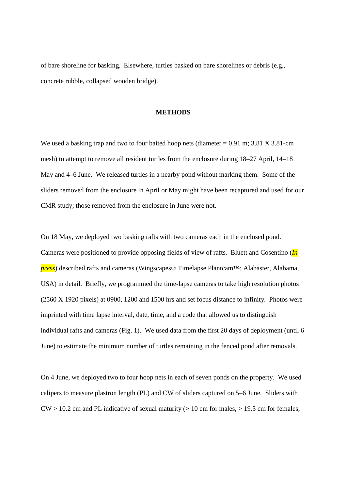of bare shoreline for basking. Elsewhere, turtles basked on bare shorelines or debris (e.g., concrete rubble, collapsed wooden bridge).

#### **METHODS**

We used a basking trap and two to four baited hoop nets (diameter  $= 0.91$  m; 3.81 X 3.81-cm mesh) to attempt to remove all resident turtles from the enclosure during 18–27 April, 14–18 May and 4–6 June. We released turtles in a nearby pond without marking them. Some of the sliders removed from the enclosure in April or May might have been recaptured and used for our CMR study; those removed from the enclosure in June were not.

On 18 May, we deployed two basking rafts with two cameras each in the enclosed pond. Cameras were positioned to provide opposing fields of view of rafts. Bluett and Cosentino (*In press*) described rafts and cameras (Wingscapes® Timelapse Plantcam™; Alabaster, Alabama, USA) in detail. Briefly, we programmed the time-lapse cameras to take high resolution photos (2560 X 1920 pixels) at 0900, 1200 and 1500 hrs and set focus distance to infinity. Photos were imprinted with time lapse interval, date, time, and a code that allowed us to distinguish individual rafts and cameras (Fig. 1). We used data from the first 20 days of deployment (until 6 June) to estimate the minimum number of turtles remaining in the fenced pond after removals.

On 4 June, we deployed two to four hoop nets in each of seven ponds on the property. We used calipers to measure plastron length (PL) and CW of sliders captured on 5–6 June. Sliders with  $CW > 10.2$  cm and PL indicative of sexual maturity ( $> 10$  cm for males,  $> 19.5$  cm for females;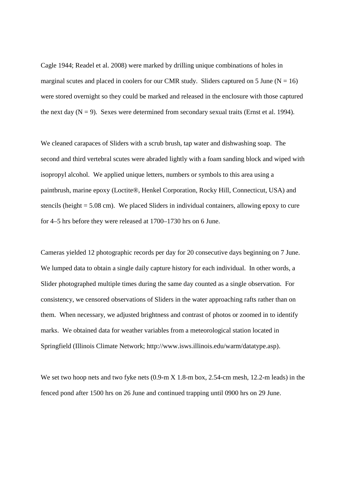Cagle 1944; Readel et al. 2008) were marked by drilling unique combinations of holes in marginal scutes and placed in coolers for our CMR study. Sliders captured on 5 June ( $N = 16$ ) were stored overnight so they could be marked and released in the enclosure with those captured the next day  $(N = 9)$ . Sexes were determined from secondary sexual traits (Ernst et al. 1994).

We cleaned carapaces of Sliders with a scrub brush, tap water and dishwashing soap. The second and third vertebral scutes were abraded lightly with a foam sanding block and wiped with isopropyl alcohol. We applied unique letters, numbers or symbols to this area using a paintbrush, marine epoxy (Loctite®, Henkel Corporation, Rocky Hill, Connecticut, USA) and stencils (height = 5.08 cm). We placed Sliders in individual containers, allowing epoxy to cure for 4–5 hrs before they were released at 1700–1730 hrs on 6 June.

Cameras yielded 12 photographic records per day for 20 consecutive days beginning on 7 June. We lumped data to obtain a single daily capture history for each individual. In other words, a Slider photographed multiple times during the same day counted as a single observation. For consistency, we censored observations of Sliders in the water approaching rafts rather than on them. When necessary, we adjusted brightness and contrast of photos or zoomed in to identify marks. We obtained data for weather variables from a meteorological station located in Springfield (Illinois Climate Network; http://www.isws.illinois.edu/warm/datatype.asp).

We set two hoop nets and two fyke nets (0.9-m X 1.8-m box, 2.54-cm mesh, 12.2-m leads) in the fenced pond after 1500 hrs on 26 June and continued trapping until 0900 hrs on 29 June.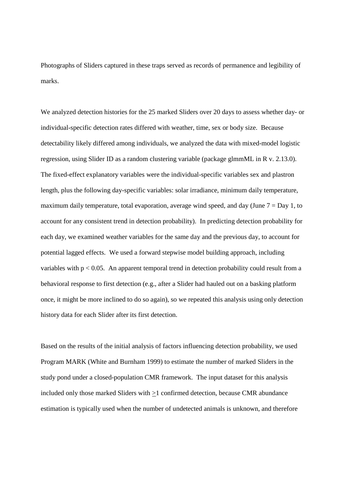Photographs of Sliders captured in these traps served as records of permanence and legibility of marks.

We analyzed detection histories for the 25 marked Sliders over 20 days to assess whether day- or individual-specific detection rates differed with weather, time, sex or body size. Because detectability likely differed among individuals, we analyzed the data with mixed-model logistic regression, using Slider ID as a random clustering variable (package glmmML in R v. 2.13.0). The fixed-effect explanatory variables were the individual-specific variables sex and plastron length, plus the following day-specific variables: solar irradiance, minimum daily temperature, maximum daily temperature, total evaporation, average wind speed, and day (June  $7 = Day 1$ , to account for any consistent trend in detection probability). In predicting detection probability for each day, we examined weather variables for the same day and the previous day, to account for potential lagged effects. We used a forward stepwise model building approach, including variables with  $p < 0.05$ . An apparent temporal trend in detection probability could result from a behavioral response to first detection (e.g., after a Slider had hauled out on a basking platform once, it might be more inclined to do so again), so we repeated this analysis using only detection history data for each Slider after its first detection.

Based on the results of the initial analysis of factors influencing detection probability, we used Program MARK (White and Burnham 1999) to estimate the number of marked Sliders in the study pond under a closed-population CMR framework. The input dataset for this analysis included only those marked Sliders with >1 confirmed detection, because CMR abundance estimation is typically used when the number of undetected animals is unknown, and therefore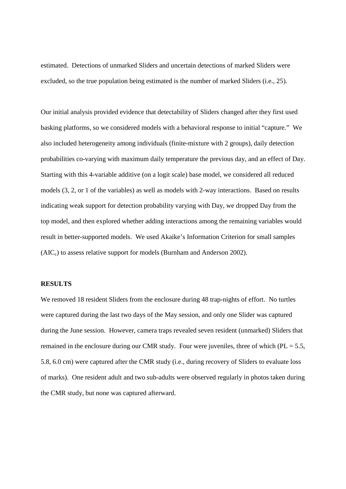estimated. Detections of unmarked Sliders and uncertain detections of marked Sliders were excluded, so the true population being estimated is the number of marked Sliders (i.e., 25).

Our initial analysis provided evidence that detectability of Sliders changed after they first used basking platforms, so we considered models with a behavioral response to initial "capture." We also included heterogeneity among individuals (finite-mixture with 2 groups), daily detection probabilities co-varying with maximum daily temperature the previous day, and an effect of Day. Starting with this 4-variable additive (on a logit scale) base model, we considered all reduced models (3, 2, or 1 of the variables) as well as models with 2-way interactions. Based on results indicating weak support for detection probability varying with Day, we dropped Day from the top model, and then explored whether adding interactions among the remaining variables would result in better-supported models. We used Akaike's Information Criterion for small samples  $(AIC<sub>c</sub>)$  to assess relative support for models (Burnham and Anderson 2002).

#### **RESULTS**

We removed 18 resident Sliders from the enclosure during 48 trap-nights of effort. No turtles were captured during the last two days of the May session, and only one Slider was captured during the June session. However, camera traps revealed seven resident (unmarked) Sliders that remained in the enclosure during our CMR study. Four were juveniles, three of which ( $PL = 5.5$ , 5.8, 6.0 cm) were captured after the CMR study (i.e., during recovery of Sliders to evaluate loss of marks). One resident adult and two sub-adults were observed regularly in photos taken during the CMR study, but none was captured afterward.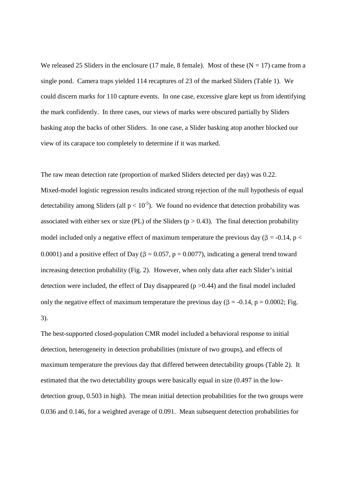We released 25 Sliders in the enclosure (17 male, 8 female). Most of these ( $N = 17$ ) came from a single pond. Camera traps yielded 114 recaptures of 23 of the marked Sliders (Table 1). We could discern marks for 110 capture events. In one case, excessive glare kept us from identifying the mark confidently. In three cases, our views of marks were obscured partially by Sliders basking atop the backs of other Sliders. In one case, a Slider basking atop another blocked our view of its carapace too completely to determine if it was marked.

The raw mean detection rate (proportion of marked Sliders detected per day) was 0.22. Mixed-model logistic regression results indicated strong rejection of the null hypothesis of equal detectability among Sliders (all  $p < 10^{-5}$ ). We found no evidence that detection probability was associated with either sex or size (PL) of the Sliders ( $p > 0.43$ ). The final detection probability model included only a negative effect of maximum temperature the previous day ( $\beta$  = -0.14, p < 0.0001) and a positive effect of Day ( $\beta = 0.057$ ,  $p = 0.0077$ ), indicating a general trend toward increasing detection probability (Fig. 2). However, when only data after each Slider's initial detection were included, the effect of Day disappeared ( $p > 0.44$ ) and the final model included only the negative effect of maximum temperature the previous day ( $\beta$  = -0.14, p = 0.0002; Fig. 3).

The best-supported closed-population CMR model included a behavioral response to initial detection, heterogeneity in detection probabilities (mixture of two groups), and effects of maximum temperature the previous day that differed between detectability groups (Table 2). It estimated that the two detectability groups were basically equal in size (0.497 in the lowdetection group, 0.503 in high). The mean initial detection probabilities for the two groups were 0.036 and 0.146, for a weighted average of 0.091. Mean subsequent detection probabilities for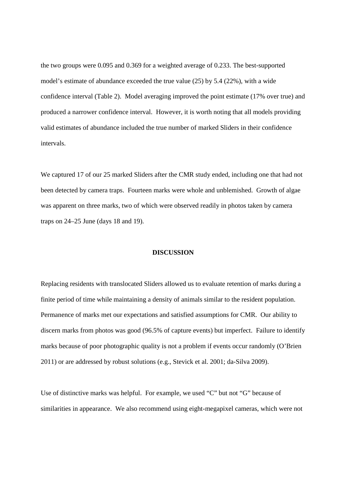the two groups were 0.095 and 0.369 for a weighted average of 0.233. The best-supported model's estimate of abundance exceeded the true value (25) by 5.4 (22%), with a wide confidence interval (Table 2). Model averaging improved the point estimate (17% over true) and produced a narrower confidence interval. However, it is worth noting that all models providing valid estimates of abundance included the true number of marked Sliders in their confidence intervals.

We captured 17 of our 25 marked Sliders after the CMR study ended, including one that had not been detected by camera traps. Fourteen marks were whole and unblemished. Growth of algae was apparent on three marks, two of which were observed readily in photos taken by camera traps on 24–25 June (days 18 and 19).

### **DISCUSSION**

Replacing residents with translocated Sliders allowed us to evaluate retention of marks during a finite period of time while maintaining a density of animals similar to the resident population. Permanence of marks met our expectations and satisfied assumptions for CMR. Our ability to discern marks from photos was good (96.5% of capture events) but imperfect. Failure to identify marks because of poor photographic quality is not a problem if events occur randomly (O'Brien 2011) or are addressed by robust solutions (e.g., Stevick et al. 2001; da-Silva 2009).

Use of distinctive marks was helpful. For example, we used "C" but not "G" because of similarities in appearance. We also recommend using eight-megapixel cameras, which were not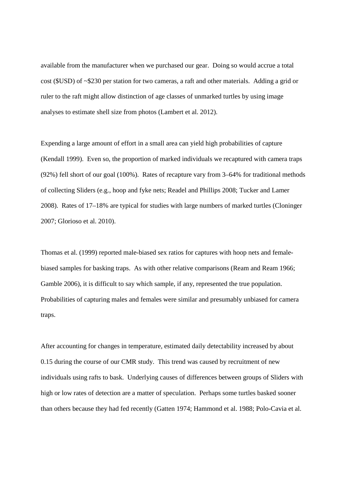available from the manufacturer when we purchased our gear. Doing so would accrue a total cost (\$USD) of ~\$230 per station for two cameras, a raft and other materials. Adding a grid or ruler to the raft might allow distinction of age classes of unmarked turtles by using image analyses to estimate shell size from photos (Lambert et al. 2012).

Expending a large amount of effort in a small area can yield high probabilities of capture (Kendall 1999). Even so, the proportion of marked individuals we recaptured with camera traps (92%) fell short of our goal (100%). Rates of recapture vary from 3–64% for traditional methods of collecting Sliders (e.g., hoop and fyke nets; Readel and Phillips 2008; Tucker and Lamer 2008). Rates of 17–18% are typical for studies with large numbers of marked turtles (Cloninger 2007; Glorioso et al. 2010).

Thomas et al. (1999) reported male-biased sex ratios for captures with hoop nets and femalebiased samples for basking traps. As with other relative comparisons (Ream and Ream 1966; Gamble 2006), it is difficult to say which sample, if any, represented the true population. Probabilities of capturing males and females were similar and presumably unbiased for camera traps.

After accounting for changes in temperature, estimated daily detectability increased by about 0.15 during the course of our CMR study. This trend was caused by recruitment of new individuals using rafts to bask. Underlying causes of differences between groups of Sliders with high or low rates of detection are a matter of speculation. Perhaps some turtles basked sooner than others because they had fed recently (Gatten 1974; Hammond et al. 1988; Polo-Cavia et al.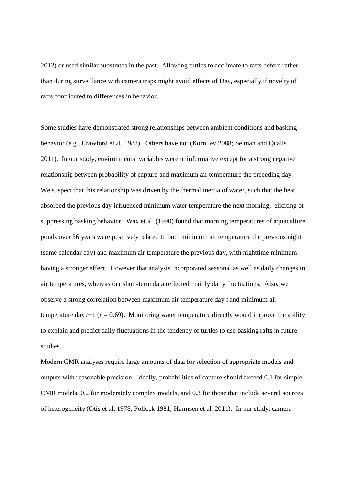2012) or used similar substrates in the past. Allowing turtles to acclimate to rafts before rather than during surveillance with camera traps might avoid effects of Day, especially if novelty of rafts contributed to differences in behavior.

Some studies have demonstrated strong relationships between ambient conditions and basking behavior (e.g., Crawford et al. 1983). Others have not (Kornilev 2008; Selman and Qualls 2011). In our study, environmental variables were uninformative except for a strong negative relationship between probability of capture and maximum air temperature the preceding day. We suspect that this relationship was driven by the thermal inertia of water, such that the heat absorbed the previous day influenced minimum water temperature the next morning, eliciting or suppressing basking behavior. Wax et al. (1990) found that morning temperatures of aquaculture ponds over 36 years were positively related to both minimum air temperature the previous night (same calendar day) and maximum air temperature the previous day, with nighttime minimum having a stronger effect. However that analysis incorporated seasonal as well as daily changes in air temperatures, whereas our short-term data reflected mainly daily fluctuations. Also, we observe a strong correlation between maximum air temperature day *t* and minimum air temperature day  $t+1$  ( $r = 0.69$ ). Monitoring water temperature directly would improve the ability to explain and predict daily fluctuations in the tendency of turtles to use basking rafts in future studies.

Modern CMR analyses require large amounts of data for selection of appropriate models and outputs with reasonable precision. Ideally, probabilities of capture should exceed 0.1 for simple CMR models, 0.2 for moderately complex models, and 0.3 for those that include several sources of heterogeneity (Otis et al. 1978; Pollock 1981; Harmsen et al. 2011). In our study, camera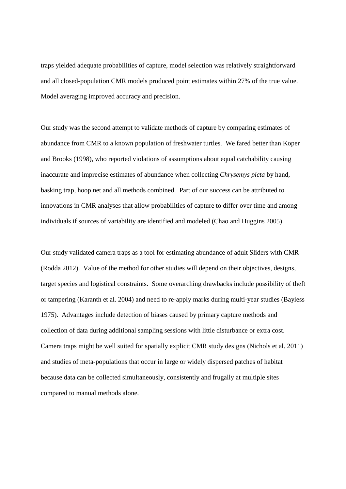traps yielded adequate probabilities of capture, model selection was relatively straightforward and all closed-population CMR models produced point estimates within 27% of the true value. Model averaging improved accuracy and precision.

Our study was the second attempt to validate methods of capture by comparing estimates of abundance from CMR to a known population of freshwater turtles. We fared better than Koper and Brooks (1998), who reported violations of assumptions about equal catchability causing inaccurate and imprecise estimates of abundance when collecting *Chrysemys picta* by hand, basking trap, hoop net and all methods combined. Part of our success can be attributed to innovations in CMR analyses that allow probabilities of capture to differ over time and among individuals if sources of variability are identified and modeled (Chao and Huggins 2005).

Our study validated camera traps as a tool for estimating abundance of adult Sliders with CMR (Rodda 2012). Value of the method for other studies will depend on their objectives, designs, target species and logistical constraints. Some overarching drawbacks include possibility of theft or tampering (Karanth et al. 2004) and need to re-apply marks during multi-year studies (Bayless 1975). Advantages include detection of biases caused by primary capture methods and collection of data during additional sampling sessions with little disturbance or extra cost. Camera traps might be well suited for spatially explicit CMR study designs (Nichols et al. 2011) and studies of meta-populations that occur in large or widely dispersed patches of habitat because data can be collected simultaneously, consistently and frugally at multiple sites compared to manual methods alone.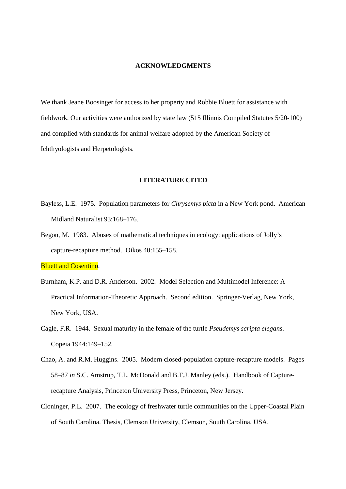#### **ACKNOWLEDGMENTS**

We thank Jeane Boosinger for access to her property and Robbie Bluett for assistance with fieldwork. Our activities were authorized by state law (515 Illinois Compiled Statutes 5/20-100) and complied with standards for animal welfare adopted by the American Society of Ichthyologists and Herpetologists.

#### **LITERATURE CITED**

- Bayless, L.E. 1975. Population parameters for *Chrysemys picta* in a New York pond. American Midland Naturalist 93:168–176.
- Begon, M. 1983. Abuses of mathematical techniques in ecology: applications of Jolly's capture-recapture method. Oikos 40:155–158.

Bluett and Cosentino.

- Burnham, K.P. and D.R. Anderson. 2002. Model Selection and Multimodel Inference: A Practical Information-Theoretic Approach. Second edition. Springer-Verlag, New York, New York, USA.
- Cagle, F.R. 1944. Sexual maturity in the female of the turtle *Pseudemys scripta elegans*. Copeia 1944:149–152.
- Chao, A. and R.M. Huggins. 2005. Modern closed-population capture-recapture models. Pages 58–87 *in* S.C. Amstrup, T.L. McDonald and B.F.J. Manley (eds.). Handbook of Capturerecapture Analysis, Princeton University Press, Princeton, New Jersey.
- Cloninger, P.L. 2007. The ecology of freshwater turtle communities on the Upper-Coastal Plain of South Carolina. Thesis, Clemson University, Clemson, South Carolina, USA.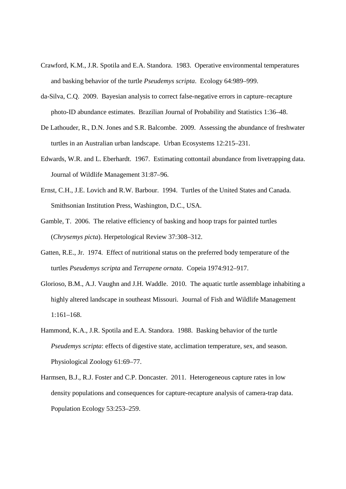- Crawford, K.M., J.R. Spotila and E.A. Standora. 1983. Operative environmental temperatures and basking behavior of the turtle *Pseudemys scripta*. Ecology 64:989–999.
- da-Silva, C.Q. 2009. Bayesian analysis to correct false-negative errors in capture–recapture photo-ID abundance estimates. Brazilian Journal of Probability and Statistics 1:36–48.
- De Lathouder, R., D.N. Jones and S.R. Balcombe. 2009. Assessing the abundance of freshwater turtles in an Australian urban landscape. Urban Ecosystems 12:215–231.
- Edwards, W.R. and L. Eberhardt. 1967. Estimating cottontail abundance from livetrapping data. Journal of Wildlife Management 31:87–96.
- Ernst, C.H., J.E. Lovich and R.W. Barbour. 1994. Turtles of the United States and Canada. Smithsonian Institution Press, Washington, D.C., USA.
- Gamble, T. 2006. The relative efficiency of basking and hoop traps for painted turtles (*Chrysemys picta*). Herpetological Review 37:308–312.
- Gatten, R.E., Jr. 1974. Effect of nutritional status on the preferred body temperature of the turtles *Pseudemys scripta* and *Terrapene ornata*. Copeia 1974:912–917.
- Glorioso, B.M., A.J. Vaughn and J.H. Waddle. 2010. The aquatic turtle assemblage inhabiting a highly altered landscape in southeast Missouri. Journal of Fish and Wildlife Management 1:161–168.
- Hammond, K.A., J.R. Spotila and E.A. Standora. 1988. Basking behavior of the turtle *Pseudemys scripta*: effects of digestive state, acclimation temperature, sex, and season. Physiological Zoology 61:69–77.
- Harmsen, B.J., R.J. Foster and C.P. Doncaster. 2011. Heterogeneous capture rates in low density populations and consequences for capture-recapture analysis of camera-trap data. Population Ecology 53:253–259.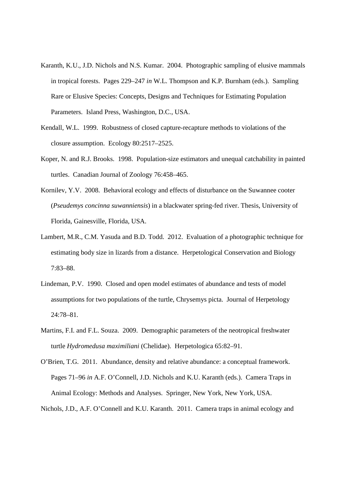- Karanth, K.U., J.D. Nichols and N.S. Kumar. 2004. Photographic sampling of elusive mammals in tropical forests. Pages 229–247 *in* W.L. Thompson and K.P. Burnham (eds.). Sampling Rare or Elusive Species: Concepts, Designs and Techniques for Estimating Population Parameters. Island Press, Washington, D.C., USA.
- Kendall, W.L. 1999. Robustness of closed capture-recapture methods to violations of the closure assumption. Ecology 80:2517–2525.
- Koper, N. and R.J. Brooks. 1998. Population-size estimators and unequal catchability in painted turtles. Canadian Journal of Zoology 76:458–465.
- Kornilev, Y.V. 2008. Behavioral ecology and effects of disturbance on the Suwannee cooter (*Pseudemys concinna suwanniensis*) in a blackwater spring-fed river. Thesis, University of Florida, Gainesville, Florida, USA.
- Lambert, M.R., C.M. Yasuda and B.D. Todd. 2012. Evaluation of a photographic technique for estimating body size in lizards from a distance. Herpetological Conservation and Biology 7:83–88.
- Lindeman, P.V. 1990. Closed and open model estimates of abundance and tests of model assumptions for two populations of the turtle, Chrysemys picta. Journal of Herpetology 24:78–81.
- Martins, F.I. and F.L. Souza. 2009. Demographic parameters of the neotropical freshwater turtle *Hydromedusa maximiliani* (Chelidae). Herpetologica 65:82–91.
- O'Brien, T.G. 2011. Abundance, density and relative abundance: a conceptual framework. Pages 71–96 *in* A.F. O'Connell, J.D. Nichols and K.U. Karanth (eds.). Camera Traps in Animal Ecology: Methods and Analyses. Springer, New York, New York, USA.

Nichols, J.D., A.F. O'Connell and K.U. Karanth. 2011. Camera traps in animal ecology and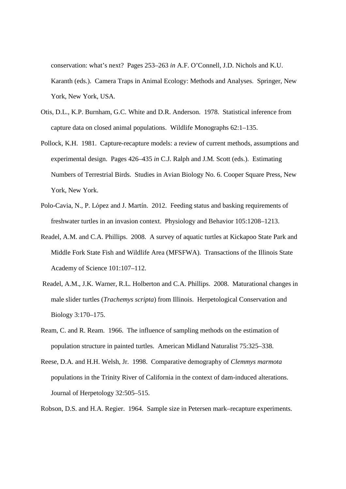conservation: what's next? Pages 253–263 *in* A.F. O'Connell, J.D. Nichols and K.U. Karanth (eds.). Camera Traps in Animal Ecology: Methods and Analyses. Springer, New York, New York, USA.

- Otis, D.L., K.P. Burnham, G.C. White and D.R. Anderson. 1978. Statistical inference from capture data on closed animal populations. Wildlife Monographs 62:1–135.
- Pollock, K.H. 1981. Capture-recapture models: a review of current methods, assumptions and experimental design. Pages 426–435 *in* C.J. Ralph and J.M. Scott (eds.). Estimating Numbers of Terrestrial Birds. Studies in Avian Biology No. 6. Cooper Square Press, New York, New York.
- Polo-Cavia, N., P. Lόpez and J. Martín. 2012. Feeding status and basking requirements of freshwater turtles in an invasion context. Physiology and Behavior 105:1208–1213.
- Readel, A.M. and C.A. Phillips. 2008. A survey of aquatic turtles at Kickapoo State Park and Middle Fork State Fish and Wildlife Area (MFSFWA). Transactions of the Illinois State Academy of Science 101:107–112.
- Readel, A.M., J.K. Warner, R.L. Holberton and C.A. Phillips. 2008. Maturational changes in male slider turtles (*Trachemys scripta*) from Illinois. Herpetological Conservation and Biology 3:170–175.
- Ream, C. and R. Ream. 1966. The influence of sampling methods on the estimation of population structure in painted turtles. American Midland Naturalist 75:325–338.
- Reese, D.A. and H.H. Welsh, Jr. 1998. Comparative demography of *Clemmys marmota* populations in the Trinity River of California in the context of dam-induced alterations. Journal of Herpetology 32:505–515.

Robson, D.S. and H.A. Regier. 1964. Sample size in Petersen mark–recapture experiments.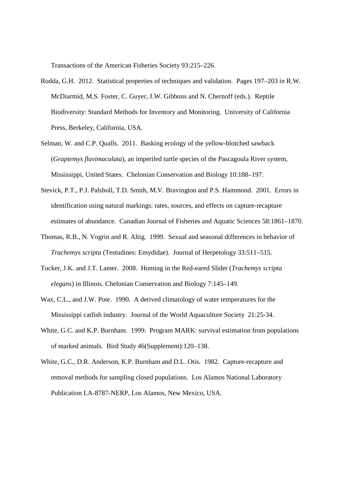Transactions of the American Fisheries Society 93:215–226.

- Rodda, G.H. 2012. Statistical properties of techniques and validation. Pages 197–203 *in* R.W. McDiarmid, M.S. Foster, C. Guyer, J.W. Gibbons and N. Chernoff (eds.). Reptile Biodiversity: Standard Methods for Inventory and Monitoring. University of California Press, Berkeley, California, USA.
- Selman, W. and C.P. Qualls. 2011. Basking ecology of the yellow-blotched sawback (*Graptemys flavimaculata*), an imperiled turtle species of the Pascagoula River system, Mississippi, United States. Chelonian Conservation and Biology 10:188–197.
- Stevick, P.T., P.J. Palsboll, T.D. Smith, M.V. Bravington and P.S. Hammond. 2001. Errors in identification using natural markings: rates, sources, and effects on capture-recapture estimates of abundance. Canadian Journal of Fisheries and Aquatic Sciences 58:1861–1870.
- Thomas, R.B., N. Vogrin and R. Altig. 1999. Sexual and seasonal differences in behavior of *Trachemys scripta* (Testudines: Emydidae). Journal of Herpetology 33:511–515.
- Tucker, J.K. and J.T. Lamer. 2008. Homing in the Red-eared Slider (*Trachemys scripta elegans*) in Illinois. Chelonian Conservation and Biology 7:145–149.
- Wax, C.L., and J.W. Pote. 1990. A derived climatology of water temperatures for the Mississippi catfish industry. Journal of the World Aquaculture Society 21:25-34.
- White, G.C. and K.P. Burnham. 1999. Program MARK: survival estimation from populations of marked animals. Bird Study 46(Supplement):120–138.
- White, G.C., D.R. Anderson, K.P. Burnham and D.L. Otis. 1982. Capture-recapture and removal methods for sampling closed populations. Los Alamos National Laboratory Publication LA-8787-NERP, Los Alamos, New Mexico, USA.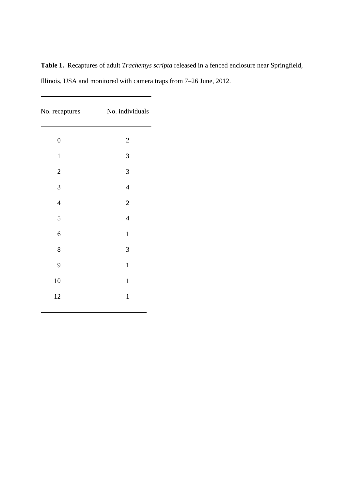| <b>Table 1.</b> Recaptures of adult <i>Trachemys scripta</i> released in a fenced enclosure near Springfield, |  |
|---------------------------------------------------------------------------------------------------------------|--|
| Illinois, USA and monitored with camera traps from 7–26 June, 2012.                                           |  |

| No. recaptures   | No. individuals |
|------------------|-----------------|
| $\boldsymbol{0}$ | $\overline{c}$  |
| $\mathbf 1$      | 3               |
| $\sqrt{2}$       | 3               |
| 3                | $\overline{4}$  |
| $\overline{4}$   | $\overline{c}$  |
| 5                | $\overline{4}$  |
| $\overline{6}$   | $\mathbf{1}$    |
| 8                | 3               |
| 9                | $\mathbf{1}$    |
| 10               | $\mathbf 1$     |
| 12               | $\mathbf{1}$    |
|                  |                 |

-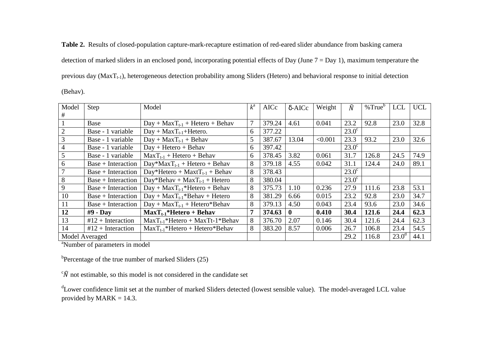**Table 2.** Results of closed-population capture-mark-recapture estimation of red-eared slider abundance from basking camera detection of marked sliders in an enclosed pond, incorporating potential effects of Day (June  $7 = Day 1$ ), maximum temperature the previous day ( $MaxT_{t-1}$ ), heterogeneous detection probability among Sliders (Hetero) and behavioral response to initial detection (Behav).

Model # Step **Model** Model *k*<sup>a</sup> AICc δ-AICc Weight  $\hat{N}$  $\hat{N}$  | %True<sup>b</sup> | LCL | UCL 1 Base Day + MaxT<sub>t-1</sub> + Hetero + Behav 7 379.24 4.61 0.041 23.2 92.8 23.0 32.8 2 Base - 1 variable Day + MaxT<sub>t-1</sub>+Hetero. 6 377.22 23.0<sup>c</sup><br>3 Base - 1 variable Day + MaxT<sub>t-1</sub> + Behav 5 387.67 13.04 < 0.001 23.3 3 Base - 1 variable Day + MaxTt-1 + Behav 5 387.67 13.04 <0.001 23.3 93.2 23.0 32.6 4 Base - 1 variable Day + Hetero + Behav 6 397.42 23.0<sup>c</sup> 5 Base - 1 variable MaxTt-1 + Hetero + Behav 6 378.45 3.82 0.061 31.7 126.8 24.5 74.9 6 Base + Interaction $Day*MaxT_{t-1}$  + Hetero + Behav 8 379.18 4.55 0.042 31.1 124.4 24.0 89.1<br>Day\*Hetero + MaxtT<sub>t-1</sub> + Behav 8 378.43 23.0° 7 Base + Interaction $\frac{\text{Day*Hetero} + \text{MaxtT}_{t-1} + \text{Behav}}{\text{Day*Behav} + \text{MaxT}_{t-1} + \text{Hetero}}$  8 378.43 23.0<sup>c</sup> 23.0<sup>c</sup>  $8$  Base + Interaction  $\frac{Day*Behav + MaxT_{t-1} + Hetero}{Day + MaxT_{t-1}*Hetero + Behav}$  8 375.73 1.10 0.236 27.9 9 Base + Interaction $\frac{\text{Day} + \text{MaxT}_{t-1} * \text{Hetero} + \text{Behav}}{\text{Day} + \text{MaxT}_{t-1} * \text{Behav} + \text{Hetero}}$  8 375.73 1.10 0.236 27.9 111.6 23.8 53.1 10 Base + Interaction $\frac{\text{Day} + \text{MaxT}_{t-1} * \text{Behav} + \text{Hetero}}{\text{Day} + \text{MaxT}_{t-1} + \text{Hetero} * \text{Behav}}$  8 381.29 6.66 0.015 23.2 92.8 23.0 34.7 <br>
8 379.13 4.50 0.043 23.4 93.6 23.0 34.6 11 Base + Interaction $\frac{\text{Day} + \text{MaxT}_{t-1} + \text{Hetero*Behav}}{\text{MaxT}_{t-1} * \text{Hetero} + \text{Behav}}$  8 379.13 4.50 0.043 23.4 93.6 23.0 34.6<br>  $\frac{\text{MaxT}_{t-1} * \text{Hetero} + \text{Behav}}{374.63}$  0 0.410 30.4 121.6 24.4 62.3  $12$  #9 - Day Max $T_{t-1}$ <sup>\*</sup>Hetero + Behav  $62.3$ 13  $\frac{13}{12 + \text{Interaction}}$  MaxT<sub>t-1</sub>\*Hetero + MaxTt-1\*Behav  $\frac{8}{376.70}$  2.07  $\frac{0.146}{0.146}$  30.4 121.6 24.4 54.5 14  $\#12 + \text{Interaction}$   $\text{MaxT}_{t-1}^*$  Hetero + Hetero\*Behav  $\{8, 383.20, 8.57, 0.006, 26.7, 106.8, 23.4.54\}$ 44.1 Model Averaged 29.2 116.8 23.0<sup>d</sup> 44.1

<sup>a</sup>Number of parameters in model

 $b$ Percentage of the true number of marked Sliders (25)

 $\sqrt{\hat{N}}$  not estimable, so this model is not considered in the candidate set

<sup>d</sup>Lower confidence limit set at the number of marked Sliders detected (lowest sensible value). The model-averaged LCL value provided by  $MARK = 14.3$ .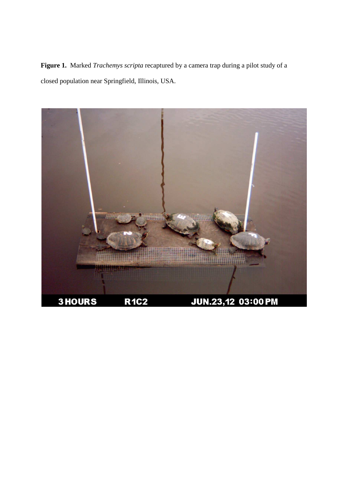**Figure 1.** Marked *Trachemys scripta* recaptured by a camera trap during a pilot study of a closed population near Springfield, Illinois, USA.

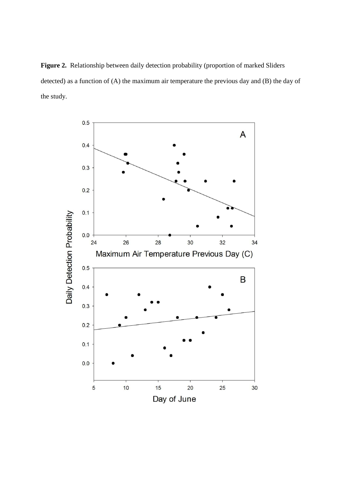**Figure 2.** Relationship between daily detection probability (proportion of marked Sliders detected) as a function of (A) the maximum air temperature the previous day and (B) the day of the study.